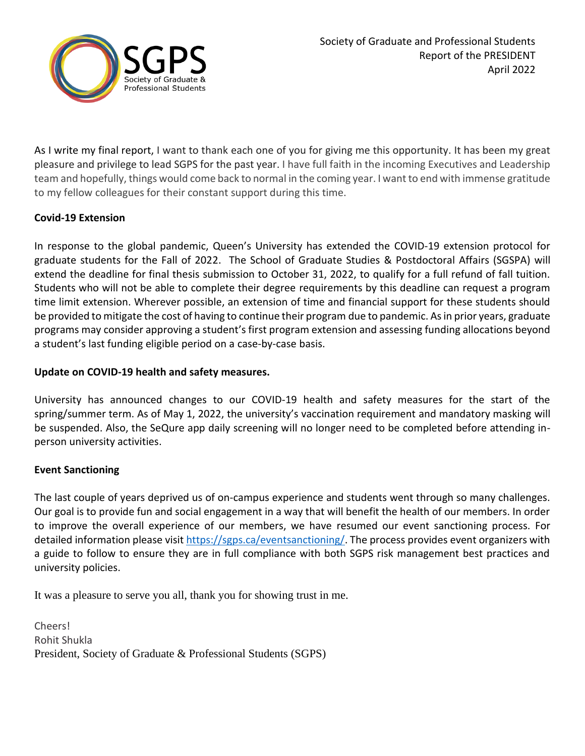

As I write my final report, I want to thank each one of you for giving me this opportunity. It has been my great pleasure and privilege to lead SGPS for the past year. I have full faith in the incoming Executives and Leadership team and hopefully, things would come back to normal in the coming year. I want to end with immense gratitude to my fellow colleagues for their constant support during this time.

# **Covid-19 Extension**

In response to the global pandemic, Queen's University has extended the COVID-19 extension protocol for graduate students for the Fall of 2022. The School of Graduate Studies & Postdoctoral Affairs (SGSPA) will extend the deadline for final thesis submission to October 31, 2022, to qualify for a full refund of fall tuition. Students who will not be able to complete their degree requirements by this deadline can request a program time limit extension. Wherever possible, an extension of time and financial support for these students should be provided to mitigate the cost of having to continue their program due to pandemic. As in prior years, graduate programs may consider approving a student's first program extension and assessing funding allocations beyond a student's last funding eligible period on a case-by-case basis.

## **Update on COVID-19 health and safety measures.**

University has announced changes to our COVID-19 health and safety measures for the start of the spring/summer term. As of May 1, 2022, the university's vaccination requirement and mandatory masking will be suspended. Also, the SeQure app daily screening will no longer need to be completed before attending inperson university activities.

## **Event Sanctioning**

The last couple of years deprived us of on-campus experience and students went through so many challenges. Our goal is to provide fun and social engagement in a way that will benefit the health of our members. In order to improve the overall experience of our members, we have resumed our event sanctioning process. For detailed information please visit [https://sgps.ca/eventsanctioning/.](https://sgps.ca/eventsanctioning/) The process provides event organizers with a guide to follow to ensure they are in full compliance with both SGPS risk management best practices and university policies.

It was a pleasure to serve you all, thank you for showing trust in me.

Cheers! Rohit Shukla President, Society of Graduate & Professional Students (SGPS)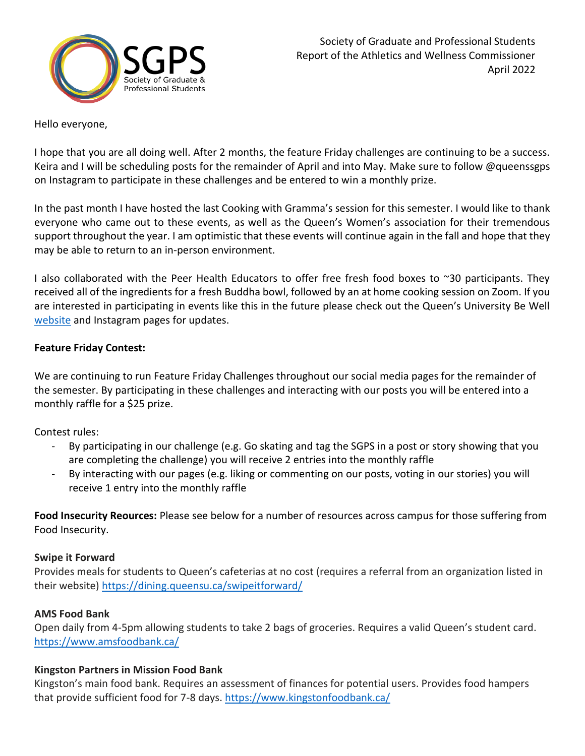

#### Hello everyone,

I hope that you are all doing well. After 2 months, the feature Friday challenges are continuing to be a success. Keira and I will be scheduling posts for the remainder of April and into May. Make sure to follow @queenssgps on Instagram to participate in these challenges and be entered to win a monthly prize.

In the past month I have hosted the last Cooking with Gramma's session for this semester. I would like to thank everyone who came out to these events, as well as the Queen's Women's association for their tremendous support throughout the year. I am optimistic that these events will continue again in the fall and hope that they may be able to return to an in-person environment.

I also collaborated with the Peer Health Educators to offer free fresh food boxes to ~30 participants. They received all of the ingredients for a fresh Buddha bowl, followed by an at home cooking session on Zoom. If you are interested in participating in events like this in the future please check out the Queen's University Be Well [website](https://www.queensu.ca/studentwellness/groups-events-trainings#fresh-food-box) and Instagram pages for updates.

### **Feature Friday Contest:**

We are continuing to run Feature Friday Challenges throughout our social media pages for the remainder of the semester. By participating in these challenges and interacting with our posts you will be entered into a monthly raffle for a \$25 prize.

Contest rules:

- By participating in our challenge (e.g. Go skating and tag the SGPS in a post or story showing that you are completing the challenge) you will receive 2 entries into the monthly raffle
- By interacting with our pages (e.g. liking or commenting on our posts, voting in our stories) you will receive 1 entry into the monthly raffle

**Food Insecurity Reources:** Please see below for a number of resources across campus for those suffering from Food Insecurity.

#### **Swipe it Forward**

Provides meals for students to Queen's cafeterias at no cost (requires a referral from an organization listed in their website) <https://dining.queensu.ca/swipeitforward/>

## **AMS Food Bank**

Open daily from 4-5pm allowing students to take 2 bags of groceries. Requires a valid Queen's student card. <https://www.amsfoodbank.ca/>

## **Kingston Partners in Mission Food Bank**

Kingston's main food bank. Requires an assessment of finances for potential users. Provides food hampers that provide sufficient food for 7-8 days.<https://www.kingstonfoodbank.ca/>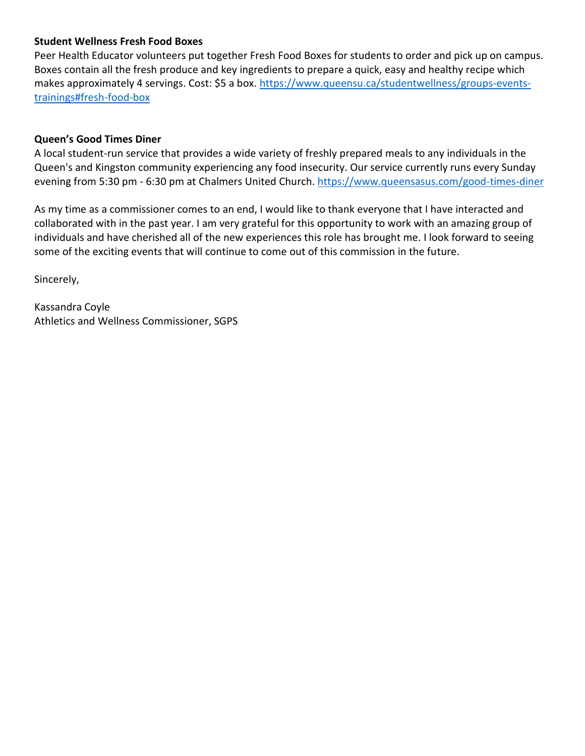## **Student Wellness Fresh Food Boxes**

Peer Health Educator volunteers put together Fresh Food Boxes for students to order and pick up on campus. Boxes contain all the fresh produce and key ingredients to prepare a quick, easy and healthy recipe which makes approximately 4 servings. Cost: \$5 a box. [https://www.queensu.ca/studentwellness/groups-events](https://www.queensu.ca/studentwellness/groups-events-trainings#fresh-food-box)[trainings#fresh-food-box](https://www.queensu.ca/studentwellness/groups-events-trainings#fresh-food-box)

#### **Queen's Good Times Diner**

A local student-run service that provides a wide variety of freshly prepared meals to any individuals in the Queen's and Kingston community experiencing any food insecurity. Our service currently runs every Sunday evening from 5:30 pm - 6:30 pm at [Chalmers United Church.](https://www.google.com/maps/dir/Chalmers+United+Church,+212+Barrie+St,+Kingston,+ON+K7L+2L8/@44.4898817,-78.3619238,8z/data=!4m9!4m8!1m0!1m5!1m1!1s0x4cd2ab017dd87701:0x217d8384debf95ab!2m2!1d-76.4907269!2d44.229275!3e0)<https://www.queensasus.com/good-times-diner>

As my time as a commissioner comes to an end, I would like to thank everyone that I have interacted and collaborated with in the past year. I am very grateful for this opportunity to work with an amazing group of individuals and have cherished all of the new experiences this role has brought me. I look forward to seeing some of the exciting events that will continue to come out of this commission in the future.

Sincerely,

Kassandra Coyle Athletics and Wellness Commissioner, SGPS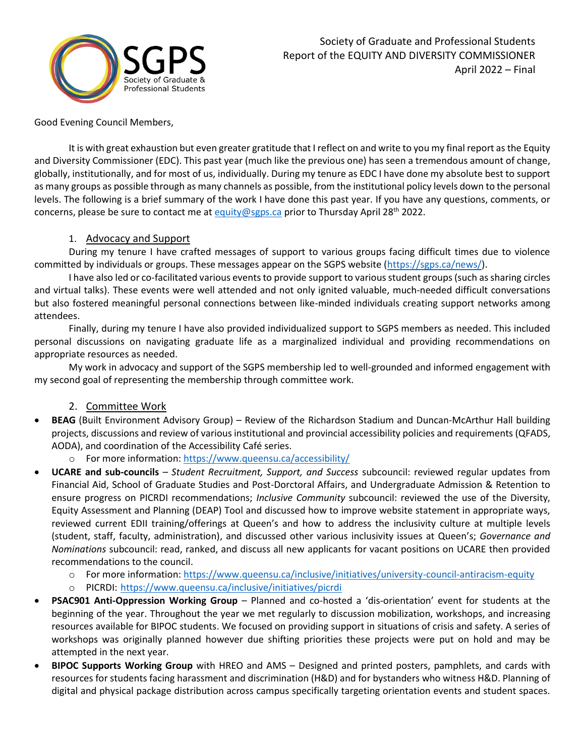

Good Evening Council Members,

It is with great exhaustion but even greater gratitude that I reflect on and write to you my final report as the Equity and Diversity Commissioner (EDC). This past year (much like the previous one) has seen a tremendous amount of change, globally, institutionally, and for most of us, individually. During my tenure as EDC I have done my absolute best to support as many groups as possible through as many channels as possible, from the institutional policy levels down to the personal levels. The following is a brief summary of the work I have done this past year. If you have any questions, comments, or concerns, please be sure to contact me a[t equity@sgps.ca](mailto:equity@sgps.ca) prior to Thursday April 28<sup>th</sup> 2022.

### 1. Advocacy and Support

During my tenure I have crafted messages of support to various groups facing difficult times due to violence committed by individuals or groups. These messages appear on the SGPS website [\(https://sgps.ca/news/\)](https://sgps.ca/news/).

I have also led or co-facilitated various events to provide support to various student groups (such as sharing circles and virtual talks). These events were well attended and not only ignited valuable, much-needed difficult conversations but also fostered meaningful personal connections between like-minded individuals creating support networks among attendees.

Finally, during my tenure I have also provided individualized support to SGPS members as needed. This included personal discussions on navigating graduate life as a marginalized individual and providing recommendations on appropriate resources as needed.

My work in advocacy and support of the SGPS membership led to well-grounded and informed engagement with my second goal of representing the membership through committee work.

## 2. Committee Work

- **BEAG** (Built Environment Advisory Group) Review of the Richardson Stadium and Duncan-McArthur Hall building projects, discussions and review of various institutional and provincial accessibility policies and requirements (QFADS, AODA), and coordination of the Accessibility Café series.
	- o For more information:<https://www.queensu.ca/accessibility/>
- **UCARE and sub-councils** *– Student Recruitment, Support, and Success* subcouncil: reviewed regular updates from Financial Aid, School of Graduate Studies and Post-Dorctoral Affairs, and Undergraduate Admission & Retention to ensure progress on PICRDI recommendations; *Inclusive Community* subcouncil: reviewed the use of the Diversity, Equity Assessment and Planning (DEAP) Tool and discussed how to improve website statement in appropriate ways, reviewed current EDII training/offerings at Queen's and how to address the inclusivity culture at multiple levels (student, staff, faculty, administration), and discussed other various inclusivity issues at Queen's; *Governance and Nominations* subcouncil: read, ranked, and discuss all new applicants for vacant positions on UCARE then provided recommendations to the council.
	- o For more information:<https://www.queensu.ca/inclusive/initiatives/university-council-antiracism-equity>
	- o PICRDI: <https://www.queensu.ca/inclusive/initiatives/picrdi>
- **PSAC901 Anti-Oppression Working Group** Planned and co-hosted a 'dis-orientation' event for students at the beginning of the year. Throughout the year we met regularly to discussion mobilization, workshops, and increasing resources available for BIPOC students. We focused on providing support in situations of crisis and safety. A series of workshops was originally planned however due shifting priorities these projects were put on hold and may be attempted in the next year.
- **BIPOC Supports Working Group** with HREO and AMS Designed and printed posters, pamphlets, and cards with resources for students facing harassment and discrimination (H&D) and for bystanders who witness H&D. Planning of digital and physical package distribution across campus specifically targeting orientation events and student spaces.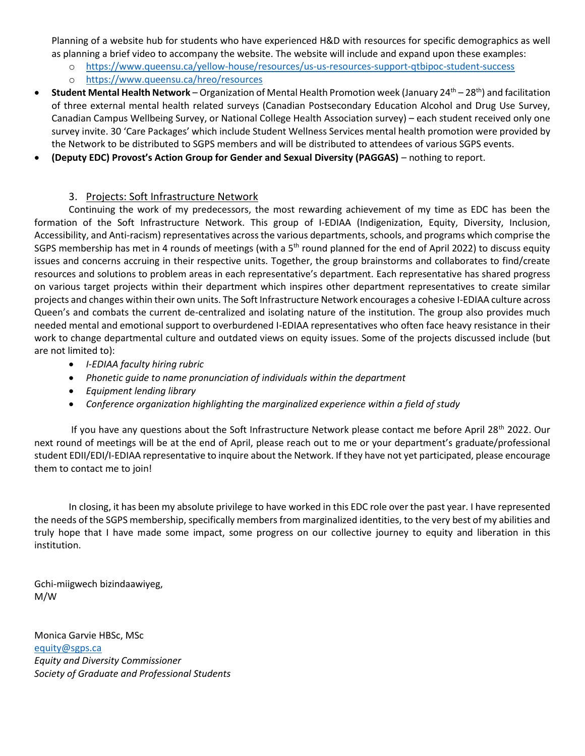Planning of a website hub for students who have experienced H&D with resources for specific demographics as well as planning a brief video to accompany the website. The website will include and expand upon these examples:

- o <https://www.queensu.ca/yellow-house/resources/us-us-resources-support-qtbipoc-student-success>
- o <https://www.queensu.ca/hreo/resources>
- **Student Mental Health Network** Organization of Mental Health Promotion week (January 24<sup>th</sup> 28<sup>th</sup>) and facilitation of three external mental health related surveys (Canadian Postsecondary Education Alcohol and Drug Use Survey, Canadian Campus Wellbeing Survey, or National College Health Association survey) – each student received only one survey invite. 30 'Care Packages' which include Student Wellness Services mental health promotion were provided by the Network to be distributed to SGPS members and will be distributed to attendees of various SGPS events.
- **(Deputy EDC) Provost's Action Group for Gender and Sexual Diversity (PAGGAS)** nothing to report.

#### 3. Projects: Soft Infrastructure Network

Continuing the work of my predecessors, the most rewarding achievement of my time as EDC has been the formation of the Soft Infrastructure Network. This group of I-EDIAA (Indigenization, Equity, Diversity, Inclusion, Accessibility, and Anti-racism) representatives across the various departments, schools, and programs which comprise the SGPS membership has met in 4 rounds of meetings (with a 5<sup>th</sup> round planned for the end of April 2022) to discuss equity issues and concerns accruing in their respective units. Together, the group brainstorms and collaborates to find/create resources and solutions to problem areas in each representative's department. Each representative has shared progress on various target projects within their department which inspires other department representatives to create similar projects and changes within their own units. The Soft Infrastructure Network encourages a cohesive I-EDIAA culture across Queen's and combats the current de-centralized and isolating nature of the institution. The group also provides much needed mental and emotional support to overburdened I-EDIAA representatives who often face heavy resistance in their work to change departmental culture and outdated views on equity issues. Some of the projects discussed include (but are not limited to):

- *I-EDIAA faculty hiring rubric*
- *Phonetic guide to name pronunciation of individuals within the department*
- *Equipment lending library*
- *Conference organization highlighting the marginalized experience within a field of study*

If you have any questions about the Soft Infrastructure Network please contact me before April 28<sup>th</sup> 2022. Our next round of meetings will be at the end of April, please reach out to me or your department's graduate/professional student EDII/EDI/I-EDIAA representative to inquire about the Network. If they have not yet participated, please encourage them to contact me to join!

In closing, it has been my absolute privilege to have worked in this EDC role over the past year. I have represented the needs of the SGPS membership, specifically members from marginalized identities, to the very best of my abilities and truly hope that I have made some impact, some progress on our collective journey to equity and liberation in this institution.

Gchi-miigwech bizindaawiyeg, M/W

Monica Garvie HBSc, MSc [equity@sgps.ca](mailto:equity@sgps.ca) *Equity and Diversity Commissioner Society of Graduate and Professional Students*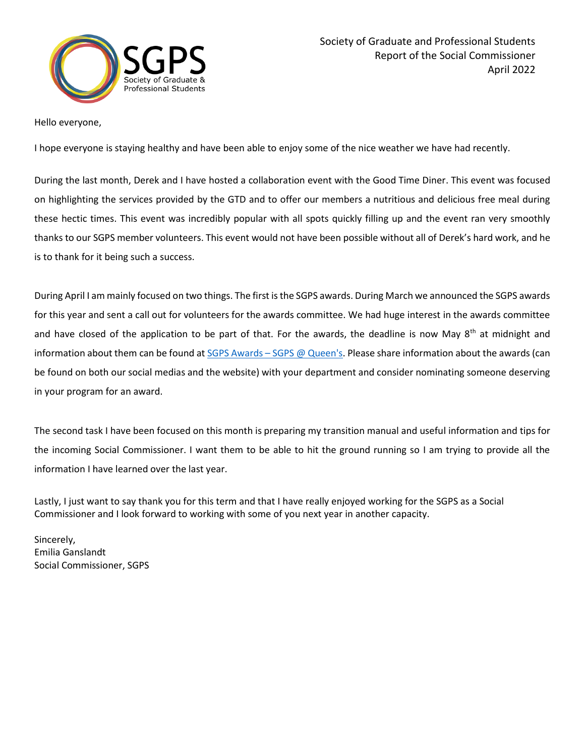

#### Hello everyone,

I hope everyone is staying healthy and have been able to enjoy some of the nice weather we have had recently.

During the last month, Derek and I have hosted a collaboration event with the Good Time Diner. This event was focused on highlighting the services provided by the GTD and to offer our members a nutritious and delicious free meal during these hectic times. This event was incredibly popular with all spots quickly filling up and the event ran very smoothly thanks to our SGPS member volunteers. This event would not have been possible without all of Derek's hard work, and he is to thank for it being such a success.

During April I am mainly focused on two things. The first is the SGPS awards. During March we announced the SGPS awards for this year and sent a call out for volunteers for the awards committee. We had huge interest in the awards committee and have closed of the application to be part of that. For the awards, the deadline is now May 8<sup>th</sup> at midnight and information about them can be found at SGPS Awards – [SGPS @ Queen's.](https://sgps.ca/sgpsawards/) Please share information about the awards (can be found on both our social medias and the website) with your department and consider nominating someone deserving in your program for an award.

The second task I have been focused on this month is preparing my transition manual and useful information and tips for the incoming Social Commissioner. I want them to be able to hit the ground running so I am trying to provide all the information I have learned over the last year.

Lastly, I just want to say thank you for this term and that I have really enjoyed working for the SGPS as a Social Commissioner and I look forward to working with some of you next year in another capacity.

Sincerely, Emilia Ganslandt Social Commissioner, SGPS